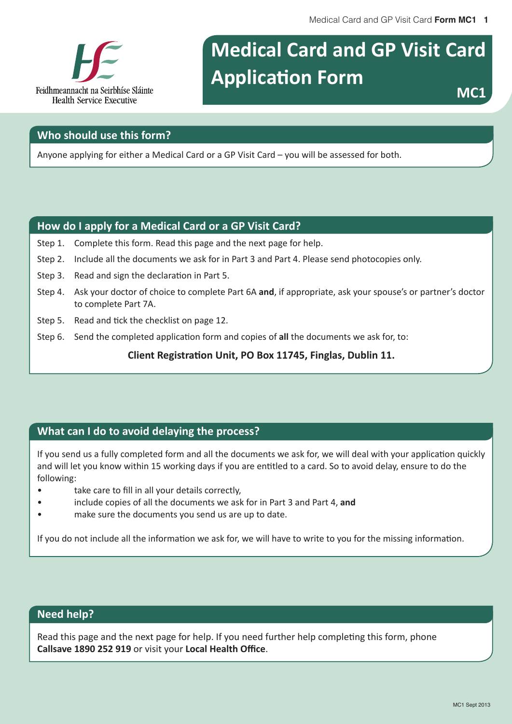Medical Card and GP Visit Card Form MC1 1



# **Medical Card and GP Visit Card Application Form**

MC<sub>1</sub>

#### Who should use this form?

Anyone applying for either a Medical Card or a GP Visit Card - you will be assessed for both.

#### How do I apply for a Medical Card or a GP Visit Card?

- Step 1. Complete this form. Read this page and the next page for help.
- Step 2. Include all the documents we ask for in Part 3 and Part 4. Please send photocopies only.
- Step 3. Read and sign the declaration in Part 5.
- Step 4. Ask your doctor of choice to complete Part 6A and, if appropriate, ask your spouse's or partner's doctor to complete Part 7A.
- Step 5. Read and tick the checklist on page 12.
- Step 6. Send the completed application form and copies of all the documents we ask for, to:

Client Registration Unit, PO Box 11745, Finglas, Dublin 11.

#### What can I do to avoid delaying the process?

If you send us a fully completed form and all the documents we ask for, we will deal with your application quickly and will let you know within 15 working days if you are entitled to a card. So to avoid delay, ensure to do the following:

- take care to fill in all your details correctly,  $\bullet$
- include copies of all the documents we ask for in Part 3 and Part 4, and
- make sure the documents you send us are up to date.  $\epsilon$

If you do not include all the information we ask for, we will have to write to you for the missing information.

#### **Need help?**

Read this page and the next page for help. If you need further help completing this form, phone Callsave 1890 252 919 or visit your Local Health Office.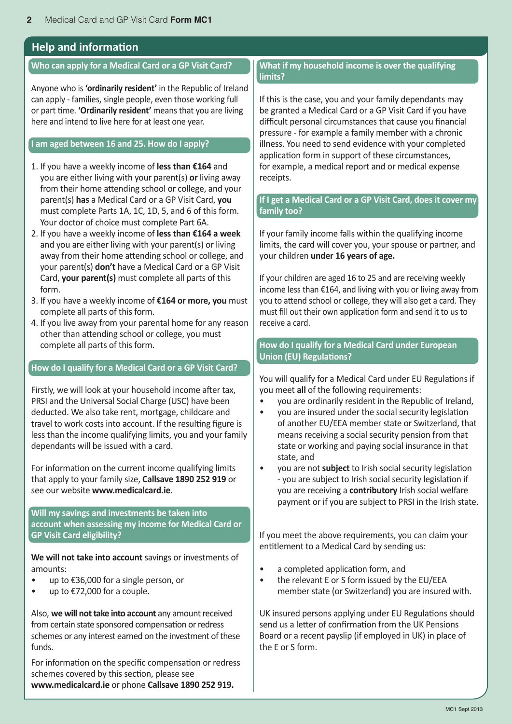#### **Help and information**

#### **Who can apply for a Medical Card or a GP Visit Card?**

Anyone who is **'ordinarily resident'** in the Republic of Ireland can apply - families, single people, even those working full or part time. **'Ordinarily resident'** means that you are living here and intend to live here for at least one year.

#### **I** am aged between 16 and 25. How do I apply?

- 1. If you have a weekly income of less than €164 and you are either living with your parent(s) or living away from their home attending school or college, and your parent(s) has a Medical Card or a GP Visit Card, **you** must complete Parts 1A, 1C, 1D, 5, and 6 of this form. Your doctor of choice must complete Part 6A.
- 2. If you have a weekly income of less than €164 a week and you are either living with your parent(s) or living away from their home attending school or college, and your parent(s) **don't** have a Medical Card or a GP Visit Card, **your parent(s)** must complete all parts of this form.
- 3. If you have a weekly income of €164 or more, you must complete all parts of this form.
- 4. If you live away from your parental home for any reason other than attending school or college, you must complete all parts of this form.

#### **How do I qualify for a Medical Card or a GP Visit Card?**

Firstly, we will look at your household income after tax, PRSI and the Universal Social Charge (USC) have been deducted. We also take rent, mortgage, childcare and travel to work costs into account. If the resulting figure is less than the income qualifying limits, you and your family dependants will be issued with a card.

For information on the current income qualifying limits that apply to your family size, **Callsave 1890 252 919** or see our website **www.medicalcard.ie.** 

**Will my savings and investments be taken into account when assessing my income for Medical Card or GP Visit Card eligibility?** 

**We will not take into account** savings or investments of amounts:

- up to €36,000 for a single person, or
- up to €72,000 for a couple.

Also, we will not take into account any amount received from certain state sponsored compensation or redress schemes or any interest earned on the investment of these funds.

For information on the specific compensation or redress schemes covered by this section, please see www.medicalcard.ie or phone Callsave 1890 252 919.

#### **What if my household income is over the qualifying limits?**

If this is the case, you and your family dependants may be granted a Medical Card or a GP Visit Card if you have difficult personal circumstances that cause you financial pressure - for example a family member with a chronic illness. You need to send evidence with your completed application form in support of these circumstances, for example, a medical report and or medical expense receipts.

#### If I get a Medical Card or a GP Visit Card, does it cover my **family too?**

If your family income falls within the qualifying income limits, the card will cover you, your spouse or partner, and your children **under 16 years of age.** 

If your children are aged 16 to 25 and are receiving weekly income less than  $£164$ , and living with you or living away from you to attend school or college, they will also get a card. They must fill out their own application form and send it to us to receive a card.

**How do I qualify for a Medical Card under European Union (EU) Regulations?** 

You will qualify for a Medical Card under EU Regulations if you meet all of the following requirements:

- you are ordinarily resident in the Republic of Ireland,
- vou are insured under the social security legislation of another EU/EEA member state or Switzerland, that means receiving a social security pension from that state or working and paying social insurance in that state, and
- vou are not **subject** to Irish social security legislation - you are subject to Irish social security legislation if you are receiving a **contributory** Irish social welfare payment or if you are subject to PRSI in the Irish state.

If you meet the above requirements, you can claim your entitlement to a Medical Card by sending us:

- a completed application form, and
- the relevant E or S form issued by the EU/EEA member state (or Switzerland) you are insured with.

UK insured persons applying under EU Regulations should send us a letter of confirmation from the UK Pensions Board or a recent payslip (if employed in UK) in place of the F or S form.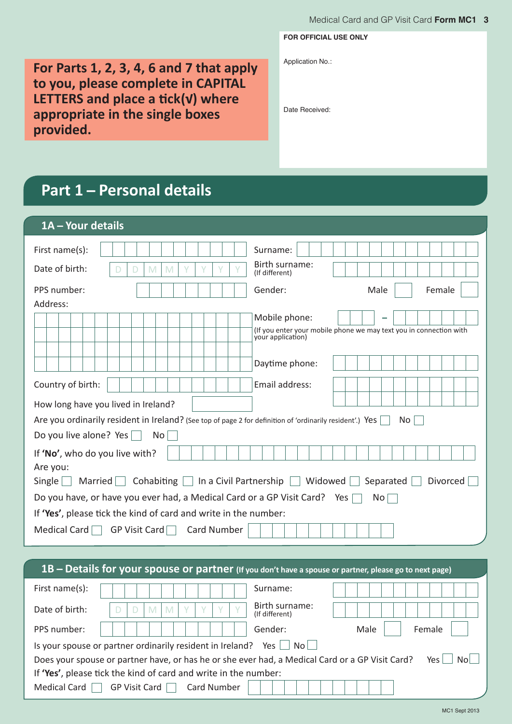**FOR OFFICIAL USE ONLY**

Application No.:

Date Received:

**For Parts 1, 2, 3, 4, 6 and 7 that apply** to you, please complete in CAPITAL LETTERS and place a tick(v) where appropriate in the single boxes provided.

|  | <b>Part 1 – Personal details</b> |  |
|--|----------------------------------|--|

| 1A - Your details                                                                                        |                                                                                                            |
|----------------------------------------------------------------------------------------------------------|------------------------------------------------------------------------------------------------------------|
| First name(s):<br>Date of birth:<br>M<br>D<br>M<br>D                                                     | Surname:<br>Birth surname:<br>(If different)                                                               |
| PPS number:                                                                                              | Gender:<br>Male<br>Female                                                                                  |
| Address:                                                                                                 |                                                                                                            |
|                                                                                                          | Mobile phone:                                                                                              |
|                                                                                                          | (If you enter your mobile phone we may text you in connection with<br>your application)                    |
|                                                                                                          |                                                                                                            |
|                                                                                                          | Daytime phone:                                                                                             |
| Country of birth:                                                                                        | Email address:                                                                                             |
| How long have you lived in Ireland?                                                                      |                                                                                                            |
| Are you ordinarily resident in Ireland? (See top of page 2 for definition of 'ordinarily resident'.) Yes | No.                                                                                                        |
| Do you live alone? Yes<br>No                                                                             |                                                                                                            |
| If 'No', who do you live with?                                                                           |                                                                                                            |
| Are you:                                                                                                 |                                                                                                            |
| $Single \mid \cdot$                                                                                      | Married $\Box$ Cohabiting $\Box$ In a Civil Partnership $\Box$ Widowed $\Box$ Separated $\Box$<br>Divorced |
| Do you have, or have you ever had, a Medical Card or a GP Visit Card? Yes                                | No                                                                                                         |
| If 'Yes', please tick the kind of card and write in the number:                                          |                                                                                                            |
| Medical Card $\Box$ GP Visit Card $\Box$ Card Number                                                     |                                                                                                            |
|                                                                                                          |                                                                                                            |
| 1B - Details for your spouse or partner (If you don't have a spouse or partner, please go to next page)  |                                                                                                            |
| $Time + normal$                                                                                          |                                                                                                            |

| First name(s):                                                  |                                                                                                 |                    | Surname:                         |      |             |  |  |  |
|-----------------------------------------------------------------|-------------------------------------------------------------------------------------------------|--------------------|----------------------------------|------|-------------|--|--|--|
| Date of birth:                                                  |                                                                                                 |                    | Birth surname:<br>(If different) |      |             |  |  |  |
| PPS number:                                                     |                                                                                                 |                    | Gender:                          | Male | Female      |  |  |  |
|                                                                 | Is your spouse or partner ordinarily resident in Ireland? Yes                                   |                    | No II                            |      |             |  |  |  |
|                                                                 | Does your spouse or partner have, or has he or she ever had, a Medical Card or a GP Visit Card? |                    |                                  |      | Nol.<br>Yes |  |  |  |
| If 'Yes', please tick the kind of card and write in the number: |                                                                                                 |                    |                                  |      |             |  |  |  |
| <b>Medical Card</b>                                             | GP Visit Card                                                                                   | <b>Card Number</b> |                                  |      |             |  |  |  |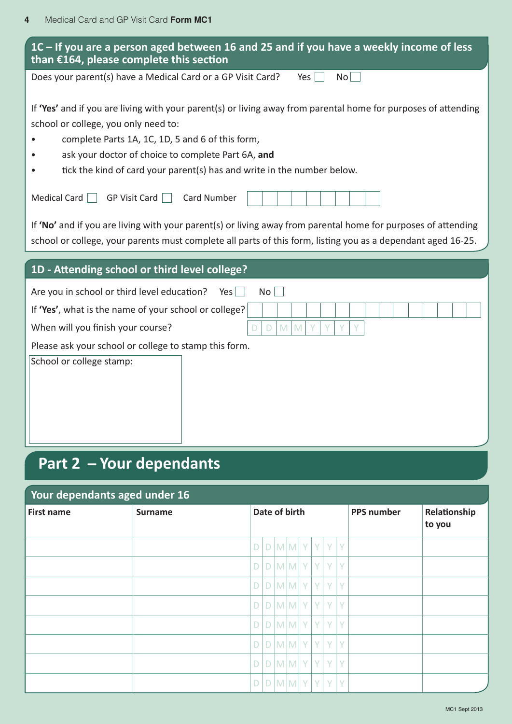| 1C – If you are a person aged between 16 and 25 and if you have a weekly income of less<br>than $£164$ , please complete this section                                                                                         |  |  |  |  |  |  |  |  |  |
|-------------------------------------------------------------------------------------------------------------------------------------------------------------------------------------------------------------------------------|--|--|--|--|--|--|--|--|--|
| Does your parent(s) have a Medical Card or a GP Visit Card?<br>No<br>Yes                                                                                                                                                      |  |  |  |  |  |  |  |  |  |
| If 'Yes' and if you are living with your parent(s) or living away from parental home for purposes of attending<br>school or college, you only need to:                                                                        |  |  |  |  |  |  |  |  |  |
| complete Parts 1A, 1C, 1D, 5 and 6 of this form,<br>ask your doctor of choice to complete Part 6A, and                                                                                                                        |  |  |  |  |  |  |  |  |  |
| tick the kind of card your parent(s) has and write in the number below.                                                                                                                                                       |  |  |  |  |  |  |  |  |  |
| Medical Card $\Box$<br>GP Visit Card [<br><b>Card Number</b>                                                                                                                                                                  |  |  |  |  |  |  |  |  |  |
| If 'No' and if you are living with your parent(s) or living away from parental home for purposes of attending<br>school or college, your parents must complete all parts of this form, listing you as a dependant aged 16-25. |  |  |  |  |  |  |  |  |  |
| 1D - Attending school or third level college?                                                                                                                                                                                 |  |  |  |  |  |  |  |  |  |
| Are you in school or third level education?<br>Yes<br>No <sub>1</sub>                                                                                                                                                         |  |  |  |  |  |  |  |  |  |
| If 'Yes', what is the name of your school or college?                                                                                                                                                                         |  |  |  |  |  |  |  |  |  |
| M<br>$\mathsf{M}% _{T}=\mathsf{M}_{T}\!\left( a,b\right) ,\ \mathsf{M}_{T}=\mathsf{M}_{T}\!\left( a,b\right) ,$<br>When will you finish your course?<br>Y<br>D                                                                |  |  |  |  |  |  |  |  |  |
| Please ask your school or college to stamp this form.                                                                                                                                                                         |  |  |  |  |  |  |  |  |  |
| School or college stamp:                                                                                                                                                                                                      |  |  |  |  |  |  |  |  |  |
|                                                                                                                                                                                                                               |  |  |  |  |  |  |  |  |  |
|                                                                                                                                                                                                                               |  |  |  |  |  |  |  |  |  |
|                                                                                                                                                                                                                               |  |  |  |  |  |  |  |  |  |
|                                                                                                                                                                                                                               |  |  |  |  |  |  |  |  |  |
| <b>Part 2 - Your dependants</b>                                                                                                                                                                                               |  |  |  |  |  |  |  |  |  |

| Your dependants aged under 16 |                |             |               |                         |  |  |                   |                        |   |  |  |
|-------------------------------|----------------|-------------|---------------|-------------------------|--|--|-------------------|------------------------|---|--|--|
| <b>First name</b>             | <b>Surname</b> |             | Date of birth |                         |  |  | <b>PPS number</b> | Relationship<br>to you |   |  |  |
|                               |                | D           |               |                         |  |  |                   | $D$ M $M$ Y $Y$        | Y |  |  |
|                               |                | D           |               | DMMYY                   |  |  |                   | Y                      | Y |  |  |
|                               |                |             |               | $D$ $D$ $M$ $M$ $Y$ $Y$ |  |  |                   | Y                      | Y |  |  |
|                               |                | $\mathsf D$ |               | D M M Y                 |  |  | Y.                | Y                      | Y |  |  |
|                               |                |             |               |                         |  |  |                   | $D[D M M Y Y Y$        | Y |  |  |
|                               |                | $\mathsf D$ |               | D M M Y                 |  |  | Y                 | Y                      | Y |  |  |
|                               |                |             |               |                         |  |  |                   | $D[D M M Y Y Y$        | Y |  |  |
|                               |                | D.          |               | $D$ $M$ $M$ $Y$ $Y$     |  |  |                   | $+Y^{\top}$            | Y |  |  |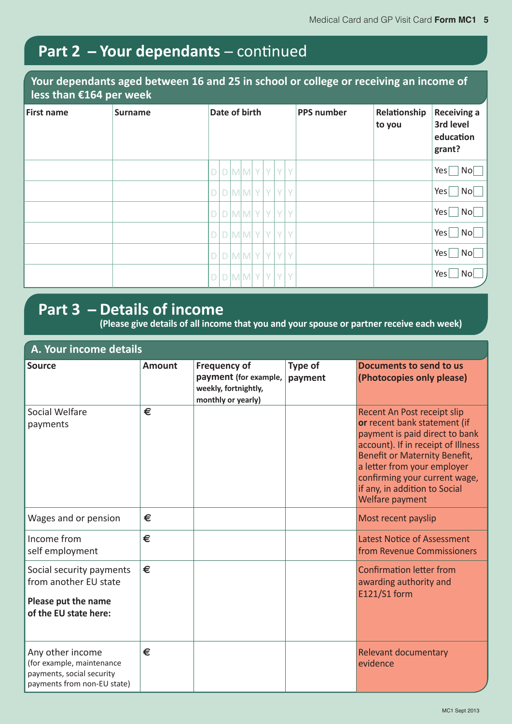# Part 2 - Your dependants - continued

#### Your dependants aged between 16 and 25 in school or college or receiving an income of **Less than €164 per week**

| <b>First name</b> | <b>Surname</b> | Date of birth |  |  |                     |   | <b>PPS number</b> | Relationship<br>to you | <b>Receiving a</b><br>3rd level<br>education<br>grant? |  |  |                      |
|-------------------|----------------|---------------|--|--|---------------------|---|-------------------|------------------------|--------------------------------------------------------|--|--|----------------------|
|                   |                |               |  |  | D[D M M Y]          | Y |                   | YY                     |                                                        |  |  | Yes<br>$\mathsf{No}$ |
|                   |                |               |  |  | $D$ $D$ $M$ $M$ $Y$ | Y |                   | Y                      | l Y                                                    |  |  | $\mathsf{No}$<br>Yes |
|                   |                |               |  |  | $D$ $D$ $M$ $M$ $Y$ | Y |                   | Y.                     | l Y                                                    |  |  | Yes<br>$\mathsf{No}$ |
|                   |                |               |  |  | $D$ $D$ $M$ $M$ $Y$ | Y |                   | Y Y                    |                                                        |  |  | No<br>Yes            |
|                   |                |               |  |  | D[D M M Y]          | Y |                   | Y                      | l V                                                    |  |  | Yes<br>$\mathsf{No}$ |
|                   |                |               |  |  | D[D M M Y]          | Y |                   | Y                      | l Y                                                    |  |  | Yes<br>No            |

### **Part 3 - Details of income**

**(Please give details of all income that you and your spouse or partner receive each week)** 

| A. Your income details                                                                                    |               |                                                                                            |                    |                                                                                                                                                                                                                                                                                          |
|-----------------------------------------------------------------------------------------------------------|---------------|--------------------------------------------------------------------------------------------|--------------------|------------------------------------------------------------------------------------------------------------------------------------------------------------------------------------------------------------------------------------------------------------------------------------------|
| Source                                                                                                    | <b>Amount</b> | <b>Frequency of</b><br>payment (for example,<br>weekly, fortnightly,<br>monthly or yearly) | Type of<br>payment | Documents to send to us<br>(Photocopies only please)                                                                                                                                                                                                                                     |
| Social Welfare<br>payments                                                                                | €             |                                                                                            |                    | Recent An Post receipt slip<br>or recent bank statement (if<br>payment is paid direct to bank<br>account). If in receipt of Illness<br>Benefit or Maternity Benefit,<br>a letter from your employer<br>confirming your current wage,<br>if any, in addition to Social<br>Welfare payment |
| Wages and or pension                                                                                      | €             |                                                                                            |                    | Most recent payslip                                                                                                                                                                                                                                                                      |
| Income from<br>self employment                                                                            | €             |                                                                                            |                    | <b>Latest Notice of Assessment</b><br>from Revenue Commissioners                                                                                                                                                                                                                         |
| Social security payments<br>from another EU state<br>Please put the name<br>of the EU state here:         | €             |                                                                                            |                    | <b>Confirmation letter from</b><br>awarding authority and<br>E121/S1 form                                                                                                                                                                                                                |
| Any other income<br>(for example, maintenance<br>payments, social security<br>payments from non-EU state) | €             |                                                                                            |                    | Relevant documentary<br>evidence                                                                                                                                                                                                                                                         |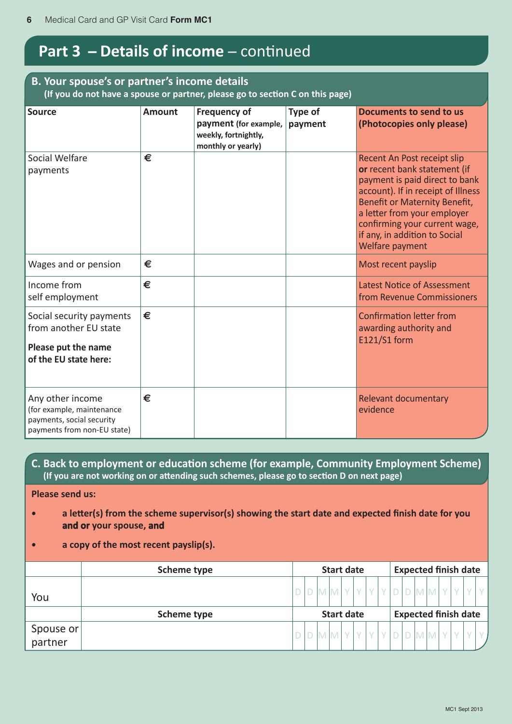## **Part 3 - Details of income** - continued

#### **B. Your spouse's or partner's income details** (If you do not have a spouse or partner, please go to section C on this page)

| <b>Source</b>                                                                                             | <b>Amount</b> | <b>Frequency of</b><br>payment (for example,<br>weekly, fortnightly,<br>monthly or yearly) | Type of<br>payment | Documents to send to us<br>(Photocopies only please)                                                                                                                                                                                                                                     |
|-----------------------------------------------------------------------------------------------------------|---------------|--------------------------------------------------------------------------------------------|--------------------|------------------------------------------------------------------------------------------------------------------------------------------------------------------------------------------------------------------------------------------------------------------------------------------|
| Social Welfare<br>payments                                                                                | €             |                                                                                            |                    | Recent An Post receipt slip<br>or recent bank statement (if<br>payment is paid direct to bank<br>account). If in receipt of Illness<br>Benefit or Maternity Benefit,<br>a letter from your employer<br>confirming your current wage,<br>if any, in addition to Social<br>Welfare payment |
| Wages and or pension                                                                                      | €             |                                                                                            |                    | Most recent payslip                                                                                                                                                                                                                                                                      |
| Income from<br>self employment                                                                            | €             |                                                                                            |                    | Latest Notice of Assessment<br>from Revenue Commissioners                                                                                                                                                                                                                                |
| Social security payments<br>from another EU state<br>Please put the name<br>of the EU state here:         | €             |                                                                                            |                    | <b>Confirmation letter from</b><br>awarding authority and<br>E121/S1 form                                                                                                                                                                                                                |
| Any other income<br>(for example, maintenance<br>payments, social security<br>payments from non-EU state) | €             |                                                                                            |                    | Relevant documentary<br>evidence                                                                                                                                                                                                                                                         |

#### **C. Back to employment or education scheme (for example, Community Employment Scheme)** (If you are not working on or attending such schemes, please go to section D on next page)

**Please send us:** 

- a letter(s) from the scheme supervisor(s) showing the start date and expected finish date for you and or your spouse, and
- **• a** copy of the most recent payslip(s).

|           | Scheme type |  |  | <b>Start date</b> |  |  | <b>Expected finish date</b> |  |  |  |
|-----------|-------------|--|--|-------------------|--|--|-----------------------------|--|--|--|
| You       |             |  |  |                   |  |  |                             |  |  |  |
|           | Scheme type |  |  | <b>Start date</b> |  |  | <b>Expected finish date</b> |  |  |  |
| Spouse or |             |  |  |                   |  |  |                             |  |  |  |
|           |             |  |  |                   |  |  |                             |  |  |  |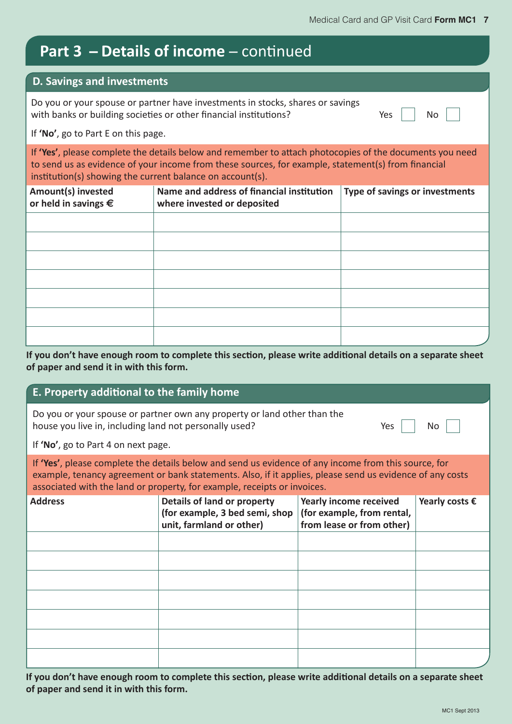# Part 3 - Details of income - continued

#### **D. Savings and investments**

Do you or your spouse or partner have investments in stocks, shares or savings with banks or building societies or other financial institutions?  $\Box$  Yes  $\parallel$  No ľ

If 'No', go to Part E on this page.

If **'Yes'**, please complete the details below and remember to attach photocopies of the documents you need to send us as evidence of your income from these sources, for example, statement(s) from financial institution(s) showing the current balance on account(s).

| Amount(s) invested<br>or held in savings $\epsilon$ | Name and address of financial institution<br>where invested or deposited | Type of savings or investments |
|-----------------------------------------------------|--------------------------------------------------------------------------|--------------------------------|
|                                                     |                                                                          |                                |
|                                                     |                                                                          |                                |
|                                                     |                                                                          |                                |
|                                                     |                                                                          |                                |
|                                                     |                                                                          |                                |
|                                                     |                                                                          |                                |
|                                                     |                                                                          |                                |

If you don't have enough room to complete this section, please write additional details on a separate sheet of paper and send it in with this form.

#### E. Property additional to the family home

| Do you or your spouse or partner own any property or land other than the |     |    |
|--------------------------------------------------------------------------|-----|----|
| house you live in, including land not personally used?                   | Yes | No |

If **'No'**, go to Part 4 on next page.

If **'Yes'**, please complete the details below and send us evidence of any income from this source, for example, tenancy agreement or bank statements. Also, if it applies, please send us evidence of any costs associated with the land or property, for example, receipts or invoices.

| <b>Address</b> | Details of land or property<br>(for example, 3 bed semi, shop<br>unit, farmland or other) | Yearly income received<br>(for example, from rental,<br>from lease or from other) | Yearly costs $\epsilon$ |
|----------------|-------------------------------------------------------------------------------------------|-----------------------------------------------------------------------------------|-------------------------|
|                |                                                                                           |                                                                                   |                         |
|                |                                                                                           |                                                                                   |                         |
|                |                                                                                           |                                                                                   |                         |
|                |                                                                                           |                                                                                   |                         |
|                |                                                                                           |                                                                                   |                         |
|                |                                                                                           |                                                                                   |                         |
|                |                                                                                           |                                                                                   |                         |

If you don't have enough room to complete this section, please write additional details on a separate sheet  $\sigma$  paper and send it in with this form.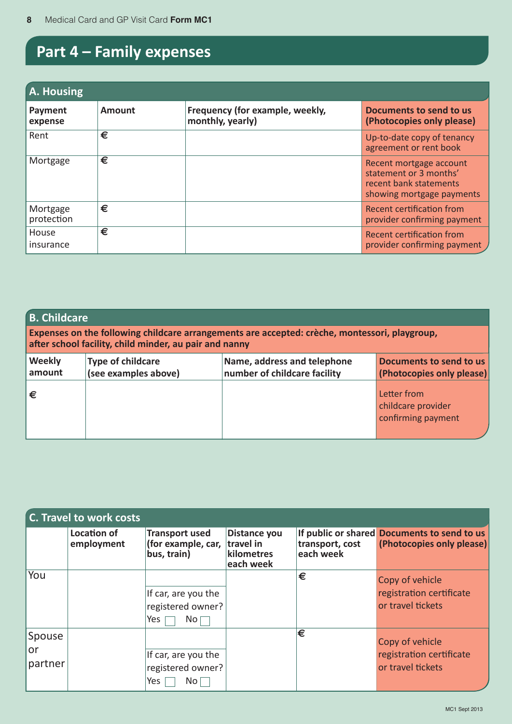# **Part 4 - Family expenses**

| A. Housing             |               |                                                     |                                                                                                          |  |  |  |  |  |  |  |
|------------------------|---------------|-----------------------------------------------------|----------------------------------------------------------------------------------------------------------|--|--|--|--|--|--|--|
| Payment<br>expense     | <b>Amount</b> | Frequency (for example, weekly,<br>monthly, yearly) | Documents to send to us<br>(Photocopies only please)                                                     |  |  |  |  |  |  |  |
| Rent                   | €             |                                                     | Up-to-date copy of tenancy<br>agreement or rent book                                                     |  |  |  |  |  |  |  |
| Mortgage               | €             |                                                     | Recent mortgage account<br>statement or 3 months'<br>recent bank statements<br>showing mortgage payments |  |  |  |  |  |  |  |
| Mortgage<br>protection | €             |                                                     | Recent certification from<br>provider confirming payment                                                 |  |  |  |  |  |  |  |
| House<br>insurance     | €             |                                                     | Recent certification from<br>provider confirming payment /                                               |  |  |  |  |  |  |  |

| <b>B. Childcare</b><br>Expenses on the following childcare arrangements are accepted: crèche, montessori, playgroup,<br>after school facility, child minder, au pair and nanny |                                                  |                                                             |                                                         |  |  |  |  |  |  |
|--------------------------------------------------------------------------------------------------------------------------------------------------------------------------------|--------------------------------------------------|-------------------------------------------------------------|---------------------------------------------------------|--|--|--|--|--|--|
| <b>Weekly</b><br>amount                                                                                                                                                        | <b>Type of childcare</b><br>(see examples above) | Name, address and telephone<br>number of childcare facility | Documents to send to us<br>(Photocopies only please)    |  |  |  |  |  |  |
| €                                                                                                                                                                              |                                                  |                                                             | Letter from<br>childcare provider<br>confirming payment |  |  |  |  |  |  |

|                         | C. Travel to work costs          |                                                                    |                                                             |                              |                                                                          |
|-------------------------|----------------------------------|--------------------------------------------------------------------|-------------------------------------------------------------|------------------------------|--------------------------------------------------------------------------|
|                         | <b>Location of</b><br>employment | <b>Transport used</b><br>(for example, car,<br>bus, train)         | <b>Distance you</b><br>travel in<br>kilometres<br>each week | transport, cost<br>each week | If public or shared Documents to send to us<br>(Photocopies only please) |
| You                     |                                  | If car, are you the<br>registered owner?<br>Yes<br>No <sub>1</sub> |                                                             | €                            | Copy of vehicle<br>registration certificate<br>or travel tickets         |
| Spouse<br>or<br>partner |                                  | If car, are you the<br>registered owner?<br>Yes<br>No              |                                                             | €                            | Copy of vehicle<br>registration certificate<br>or travel tickets         |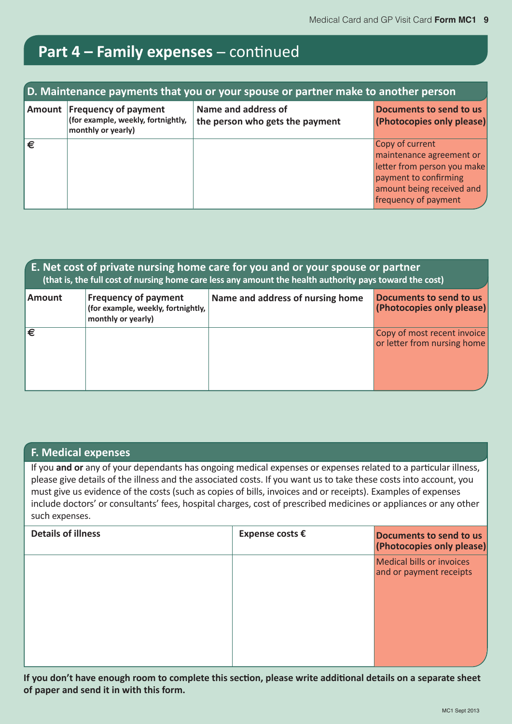# Part 4 - Family expenses - continued

| D. Maintenance payments that you or your spouse or partner make to another person |                                                                                         |                                                        |                                                                                                                                                          |  |  |  |  |  |
|-----------------------------------------------------------------------------------|-----------------------------------------------------------------------------------------|--------------------------------------------------------|----------------------------------------------------------------------------------------------------------------------------------------------------------|--|--|--|--|--|
|                                                                                   | Amount Frequency of payment<br>(for example, weekly, fortnightly,<br>monthly or yearly) | Name and address of<br>the person who gets the payment | Documents to send to us<br>(Photocopies only please)                                                                                                     |  |  |  |  |  |
| €                                                                                 |                                                                                         |                                                        | Copy of current<br>maintenance agreement or<br>letter from person you make<br>payment to confirming<br>amount being received and<br>frequency of payment |  |  |  |  |  |

| E. Net cost of private nursing home care for you and or your spouse or partner<br>(that is, the full cost of nursing home care less any amount the health authority pays toward the cost) |                                                                                         |                                  |                                                            |  |  |  |  |  |  |
|-------------------------------------------------------------------------------------------------------------------------------------------------------------------------------------------|-----------------------------------------------------------------------------------------|----------------------------------|------------------------------------------------------------|--|--|--|--|--|--|
| <b>Amount</b>                                                                                                                                                                             | <b>Frequency of payment</b><br>(for example, weekly, fortnightly,<br>monthly or yearly) | Name and address of nursing home | Documents to send to us<br>(Photocopies only please)       |  |  |  |  |  |  |
| ι€                                                                                                                                                                                        |                                                                                         |                                  | Copy of most recent invoice<br>or letter from nursing home |  |  |  |  |  |  |

#### **F. Medical expenses**

If you and or any of your dependants has ongoing medical expenses or expenses related to a particular illness, please give details of the illness and the associated costs. If you want us to take these costs into account, you must give us evidence of the costs (such as copies of bills, invoices and or receipts). Examples of expenses include doctors' or consultants' fees, hospital charges, cost of prescribed medicines or appliances or any other such expenses.

| <b>Details of illness</b> | Expense costs € | Documents to send to us<br>(Photocopies only please) |
|---------------------------|-----------------|------------------------------------------------------|
|                           |                 | Medical bills or invoices<br>and or payment receipts |
|                           |                 |                                                      |

If you don't have enough room to complete this section, please write additional details on a separate sheet of paper and send it in with this form.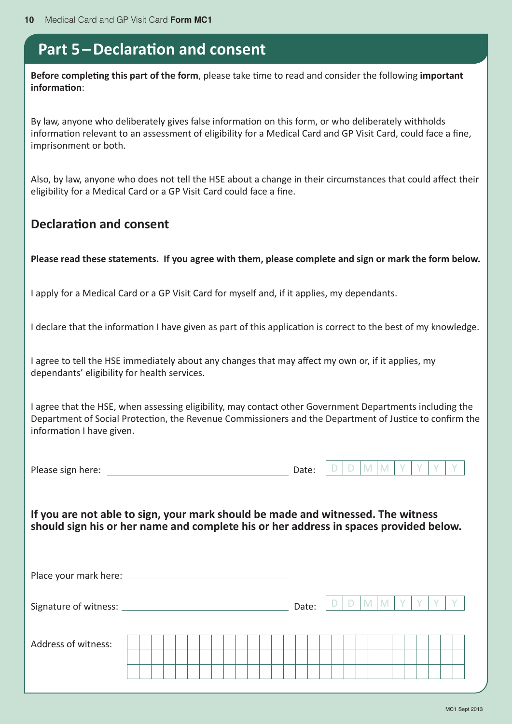### **Part 5 – Declaration and consent**

**Before completing this part of the form**, please take time to read and consider the following important  $\mathbf{inform}$ ation<sup>.</sup>

By law, anyone who deliberately gives false information on this form, or who deliberately withholds information relevant to an assessment of eligibility for a Medical Card and GP Visit Card, could face a fine, imprisonment or both.

Also, by law, anyone who does not tell the HSE about a change in their circumstances that could affect their eligibility for a Medical Card or a GP Visit Card could face a fine.

#### Declaration and consent

Please read these statements. If you agree with them, please complete and sign or mark the form below.

I apply for a Medical Card or a GP Visit Card for myself and, if it applies, my dependants.

I declare that the information I have given as part of this application is correct to the best of my knowledge.

I agree to tell the HSE immediately about any changes that may affect my own or, if it applies, my dependants' eligibility for health services.

I agree that the HSE, when assessing eligibility, may contact other Government Departments including the Department of Social Protection, the Revenue Commissioners and the Department of Justice to confirm the information I have given.

Please sign here:  $\Box$  D  $\Box$  M  $\Box$  N  $\Box$ 

If you are not able to sign, your mark should be made and witnessed. The witness should sign his or her name and complete his or her address in spaces provided below.

Place your mark here: \_\_\_\_\_\_\_\_\_\_\_

Signature of witness: Date:

|--|

| Address of witness: |  |  |  |  |  |  |  |  |  |  |  |  |  |  |
|---------------------|--|--|--|--|--|--|--|--|--|--|--|--|--|--|
|                     |  |  |  |  |  |  |  |  |  |  |  |  |  |  |
|                     |  |  |  |  |  |  |  |  |  |  |  |  |  |  |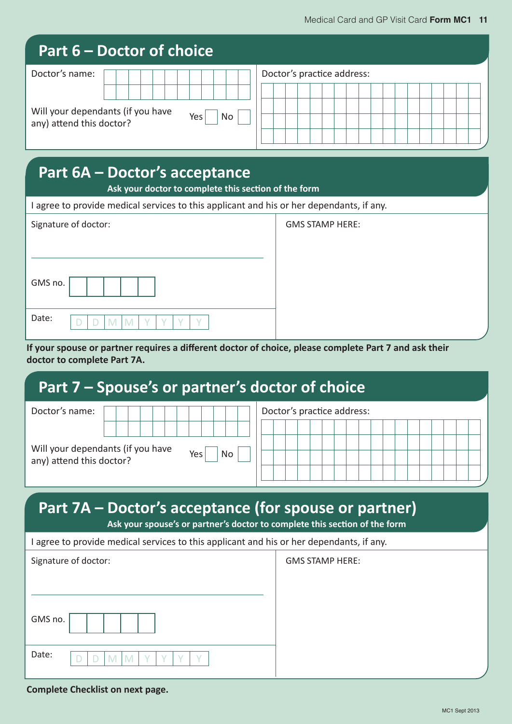|                                                               | Part 6 – Doctor of choice |                  |                            |
|---------------------------------------------------------------|---------------------------|------------------|----------------------------|
| Doctor's name:                                                |                           |                  | Doctor's practice address: |
|                                                               |                           |                  |                            |
| Will your dependants (if you have<br>any) attend this doctor? |                           | <b>No</b><br>Yes |                            |
|                                                               |                           |                  |                            |

### **Part 6A - Doctor's acceptance**

Ask your doctor to complete this section of the form

I agree to provide medical services to this applicant and his or her dependants, if any.

|         | Signature of doctor: |
|---------|----------------------|
| GMS no. |                      |
| Date:   |                      |

GMS STAMP HERE:

GMS STAMP HERE:

If your spouse or partner requires a different doctor of choice, please complete Part 7 and ask their doctor to complete Part 7A.

## Part 7 - Spouse's or partner's doctor of choice

| Doctor's name:                                                                                 | Doctor's practice address: |
|------------------------------------------------------------------------------------------------|----------------------------|
|                                                                                                |                            |
| Will your dependants (if you have<br>Yes <sub>1</sub><br><b>No</b><br>any) attend this doctor? |                            |

# Part 7A – Doctor's acceptance (for spouse or partner)

Ask your spouse's or partner's doctor to complete this section of the form

| Signature of doctor: |  |  |  |  |  |
|----------------------|--|--|--|--|--|
| GMS no.              |  |  |  |  |  |
| Date:                |  |  |  |  |  |

#### **Complete Checklist on next page.**